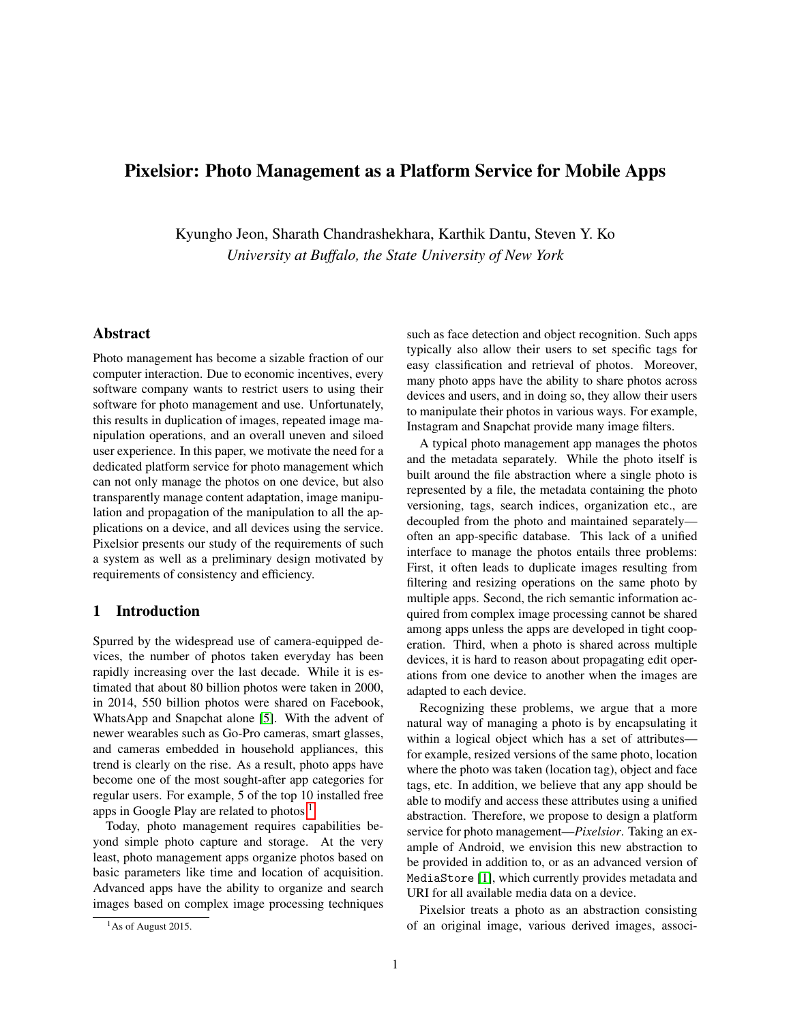# Pixelsior: Photo Management as a Platform Service for Mobile Apps

Kyungho Jeon, Sharath Chandrashekhara, Karthik Dantu, Steven Y. Ko *University at Buffalo, the State University of New York*

## Abstract

Photo management has become a sizable fraction of our computer interaction. Due to economic incentives, every software company wants to restrict users to using their software for photo management and use. Unfortunately, this results in duplication of images, repeated image manipulation operations, and an overall uneven and siloed user experience. In this paper, we motivate the need for a dedicated platform service for photo management which can not only manage the photos on one device, but also transparently manage content adaptation, image manipulation and propagation of the manipulation to all the applications on a device, and all devices using the service. Pixelsior presents our study of the requirements of such a system as well as a preliminary design motivated by requirements of consistency and efficiency.

## 1 Introduction

Spurred by the widespread use of camera-equipped devices, the number of photos taken everyday has been rapidly increasing over the last decade. While it is estimated that about 80 billion photos were taken in 2000, in 2014, 550 billion photos were shared on Facebook, WhatsApp and Snapchat alone [\[5\]](#page-4-0). With the advent of newer wearables such as Go-Pro cameras, smart glasses, and cameras embedded in household appliances, this trend is clearly on the rise. As a result, photo apps have become one of the most sought-after app categories for regular users. For example, 5 of the top 10 installed free apps in Google Play are related to photos  $<sup>1</sup>$  $<sup>1</sup>$  $<sup>1</sup>$ </sup>

Today, photo management requires capabilities beyond simple photo capture and storage. At the very least, photo management apps organize photos based on basic parameters like time and location of acquisition. Advanced apps have the ability to organize and search images based on complex image processing techniques such as face detection and object recognition. Such apps typically also allow their users to set specific tags for easy classification and retrieval of photos. Moreover, many photo apps have the ability to share photos across devices and users, and in doing so, they allow their users to manipulate their photos in various ways. For example, Instagram and Snapchat provide many image filters.

A typical photo management app manages the photos and the metadata separately. While the photo itself is built around the file abstraction where a single photo is represented by a file, the metadata containing the photo versioning, tags, search indices, organization etc., are decoupled from the photo and maintained separately often an app-specific database. This lack of a unified interface to manage the photos entails three problems: First, it often leads to duplicate images resulting from filtering and resizing operations on the same photo by multiple apps. Second, the rich semantic information acquired from complex image processing cannot be shared among apps unless the apps are developed in tight cooperation. Third, when a photo is shared across multiple devices, it is hard to reason about propagating edit operations from one device to another when the images are adapted to each device.

Recognizing these problems, we argue that a more natural way of managing a photo is by encapsulating it within a logical object which has a set of attributes for example, resized versions of the same photo, location where the photo was taken (location tag), object and face tags, etc. In addition, we believe that any app should be able to modify and access these attributes using a unified abstraction. Therefore, we propose to design a platform service for photo management—*Pixelsior*. Taking an example of Android, we envision this new abstraction to be provided in addition to, or as an advanced version of MediaStore [\[1\]](#page-4-1), which currently provides metadata and URI for all available media data on a device.

Pixelsior treats a photo as an abstraction consisting of an original image, various derived images, associ-

<span id="page-0-0"></span> $<sup>1</sup>$ As of August 2015.</sup>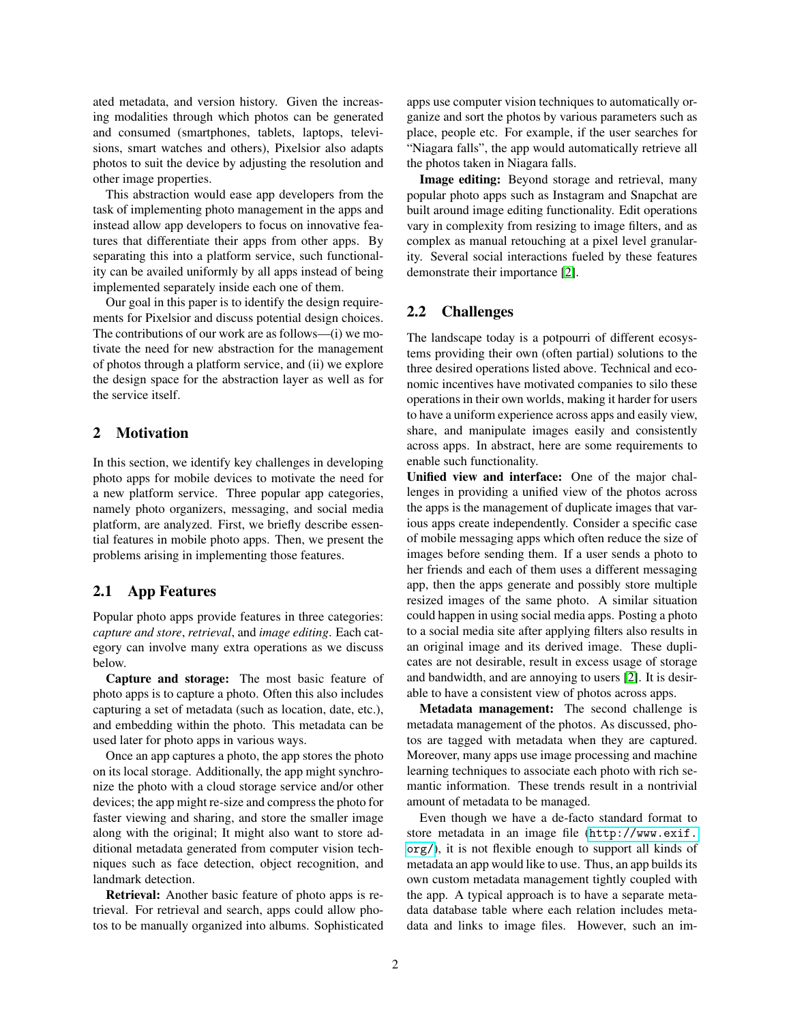ated metadata, and version history. Given the increasing modalities through which photos can be generated and consumed (smartphones, tablets, laptops, televisions, smart watches and others), Pixelsior also adapts photos to suit the device by adjusting the resolution and other image properties.

This abstraction would ease app developers from the task of implementing photo management in the apps and instead allow app developers to focus on innovative features that differentiate their apps from other apps. By separating this into a platform service, such functionality can be availed uniformly by all apps instead of being implemented separately inside each one of them.

Our goal in this paper is to identify the design requirements for Pixelsior and discuss potential design choices. The contributions of our work are as follows—(i) we motivate the need for new abstraction for the management of photos through a platform service, and (ii) we explore the design space for the abstraction layer as well as for the service itself.

## 2 Motivation

In this section, we identify key challenges in developing photo apps for mobile devices to motivate the need for a new platform service. Three popular app categories, namely photo organizers, messaging, and social media platform, are analyzed. First, we briefly describe essential features in mobile photo apps. Then, we present the problems arising in implementing those features.

## 2.1 App Features

Popular photo apps provide features in three categories: *capture and store*, *retrieval*, and *image editing*. Each category can involve many extra operations as we discuss below.

Capture and storage: The most basic feature of photo apps is to capture a photo. Often this also includes capturing a set of metadata (such as location, date, etc.), and embedding within the photo. This metadata can be used later for photo apps in various ways.

Once an app captures a photo, the app stores the photo on its local storage. Additionally, the app might synchronize the photo with a cloud storage service and/or other devices; the app might re-size and compress the photo for faster viewing and sharing, and store the smaller image along with the original; It might also want to store additional metadata generated from computer vision techniques such as face detection, object recognition, and landmark detection.

Retrieval: Another basic feature of photo apps is retrieval. For retrieval and search, apps could allow photos to be manually organized into albums. Sophisticated apps use computer vision techniques to automatically organize and sort the photos by various parameters such as place, people etc. For example, if the user searches for "Niagara falls", the app would automatically retrieve all the photos taken in Niagara falls.

Image editing: Beyond storage and retrieval, many popular photo apps such as Instagram and Snapchat are built around image editing functionality. Edit operations vary in complexity from resizing to image filters, and as complex as manual retouching at a pixel level granularity. Several social interactions fueled by these features demonstrate their importance [\[2\]](#page-4-2).

## 2.2 Challenges

The landscape today is a potpourri of different ecosystems providing their own (often partial) solutions to the three desired operations listed above. Technical and economic incentives have motivated companies to silo these operations in their own worlds, making it harder for users to have a uniform experience across apps and easily view, share, and manipulate images easily and consistently across apps. In abstract, here are some requirements to enable such functionality.

Unified view and interface: One of the major challenges in providing a unified view of the photos across the apps is the management of duplicate images that various apps create independently. Consider a specific case of mobile messaging apps which often reduce the size of images before sending them. If a user sends a photo to her friends and each of them uses a different messaging app, then the apps generate and possibly store multiple resized images of the same photo. A similar situation could happen in using social media apps. Posting a photo to a social media site after applying filters also results in an original image and its derived image. These duplicates are not desirable, result in excess usage of storage and bandwidth, and are annoying to users [\[2\]](#page-4-2). It is desirable to have a consistent view of photos across apps.

Metadata management: The second challenge is metadata management of the photos. As discussed, photos are tagged with metadata when they are captured. Moreover, many apps use image processing and machine learning techniques to associate each photo with rich semantic information. These trends result in a nontrivial amount of metadata to be managed.

Even though we have a de-facto standard format to store metadata in an image file ([http://www.exif.](http://www.exif.org/) [org/](http://www.exif.org/)), it is not flexible enough to support all kinds of metadata an app would like to use. Thus, an app builds its own custom metadata management tightly coupled with the app. A typical approach is to have a separate metadata database table where each relation includes metadata and links to image files. However, such an im-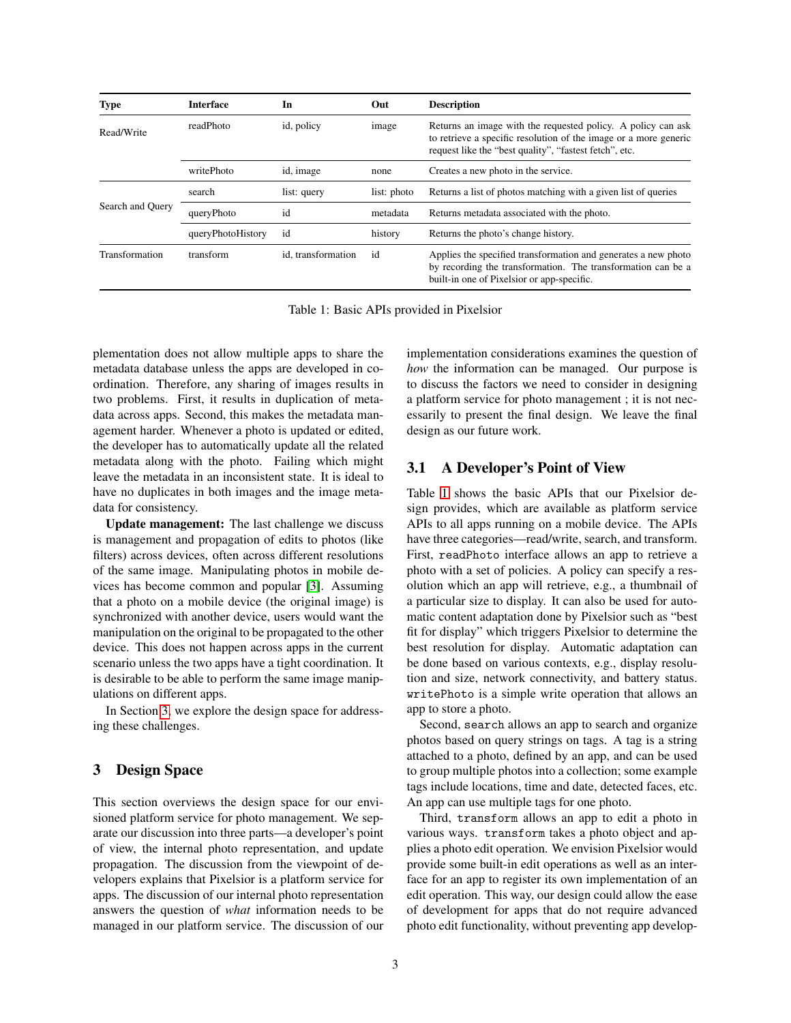<span id="page-2-1"></span>

| Type             | <b>Interface</b>  | In                 | Out         | <b>Description</b>                                                                                                                                                                         |
|------------------|-------------------|--------------------|-------------|--------------------------------------------------------------------------------------------------------------------------------------------------------------------------------------------|
| Read/Write       | readPhoto         | id, policy         | image       | Returns an image with the requested policy. A policy can ask<br>to retrieve a specific resolution of the image or a more generic<br>request like the "best quality", "fastest fetch", etc. |
|                  | writePhoto        | id, image          | none        | Creates a new photo in the service.                                                                                                                                                        |
| Search and Ouery | search            | list: query        | list: photo | Returns a list of photos matching with a given list of queries                                                                                                                             |
|                  | queryPhoto        | id                 | metadata    | Returns metadata associated with the photo.                                                                                                                                                |
|                  | queryPhotoHistory | id                 | history     | Returns the photo's change history.                                                                                                                                                        |
| Transformation   | transform         | id, transformation | id          | Applies the specified transformation and generates a new photo<br>by recording the transformation. The transformation can be a<br>built-in one of Pixelsior or app-specific.               |

Table 1: Basic APIs provided in Pixelsior

plementation does not allow multiple apps to share the metadata database unless the apps are developed in coordination. Therefore, any sharing of images results in two problems. First, it results in duplication of metadata across apps. Second, this makes the metadata management harder. Whenever a photo is updated or edited, the developer has to automatically update all the related metadata along with the photo. Failing which might leave the metadata in an inconsistent state. It is ideal to have no duplicates in both images and the image metadata for consistency.

Update management: The last challenge we discuss is management and propagation of edits to photos (like filters) across devices, often across different resolutions of the same image. Manipulating photos in mobile devices has become common and popular [\[3\]](#page-4-3). Assuming that a photo on a mobile device (the original image) is synchronized with another device, users would want the manipulation on the original to be propagated to the other device. This does not happen across apps in the current scenario unless the two apps have a tight coordination. It is desirable to be able to perform the same image manipulations on different apps.

In Section [3,](#page-2-0) we explore the design space for addressing these challenges.

## <span id="page-2-0"></span>3 Design Space

This section overviews the design space for our envisioned platform service for photo management. We separate our discussion into three parts—a developer's point of view, the internal photo representation, and update propagation. The discussion from the viewpoint of developers explains that Pixelsior is a platform service for apps. The discussion of our internal photo representation answers the question of *what* information needs to be managed in our platform service. The discussion of our implementation considerations examines the question of *how* the information can be managed. Our purpose is to discuss the factors we need to consider in designing a platform service for photo management ; it is not necessarily to present the final design. We leave the final design as our future work.

## <span id="page-2-2"></span>3.1 A Developer's Point of View

Table [1](#page-2-1) shows the basic APIs that our Pixelsior design provides, which are available as platform service APIs to all apps running on a mobile device. The APIs have three categories—read/write, search, and transform. First, readPhoto interface allows an app to retrieve a photo with a set of policies. A policy can specify a resolution which an app will retrieve, e.g., a thumbnail of a particular size to display. It can also be used for automatic content adaptation done by Pixelsior such as "best fit for display" which triggers Pixelsior to determine the best resolution for display. Automatic adaptation can be done based on various contexts, e.g., display resolution and size, network connectivity, and battery status. writePhoto is a simple write operation that allows an app to store a photo.

Second, search allows an app to search and organize photos based on query strings on tags. A tag is a string attached to a photo, defined by an app, and can be used to group multiple photos into a collection; some example tags include locations, time and date, detected faces, etc. An app can use multiple tags for one photo.

Third, transform allows an app to edit a photo in various ways. transform takes a photo object and applies a photo edit operation. We envision Pixelsior would provide some built-in edit operations as well as an interface for an app to register its own implementation of an edit operation. This way, our design could allow the ease of development for apps that do not require advanced photo edit functionality, without preventing app develop-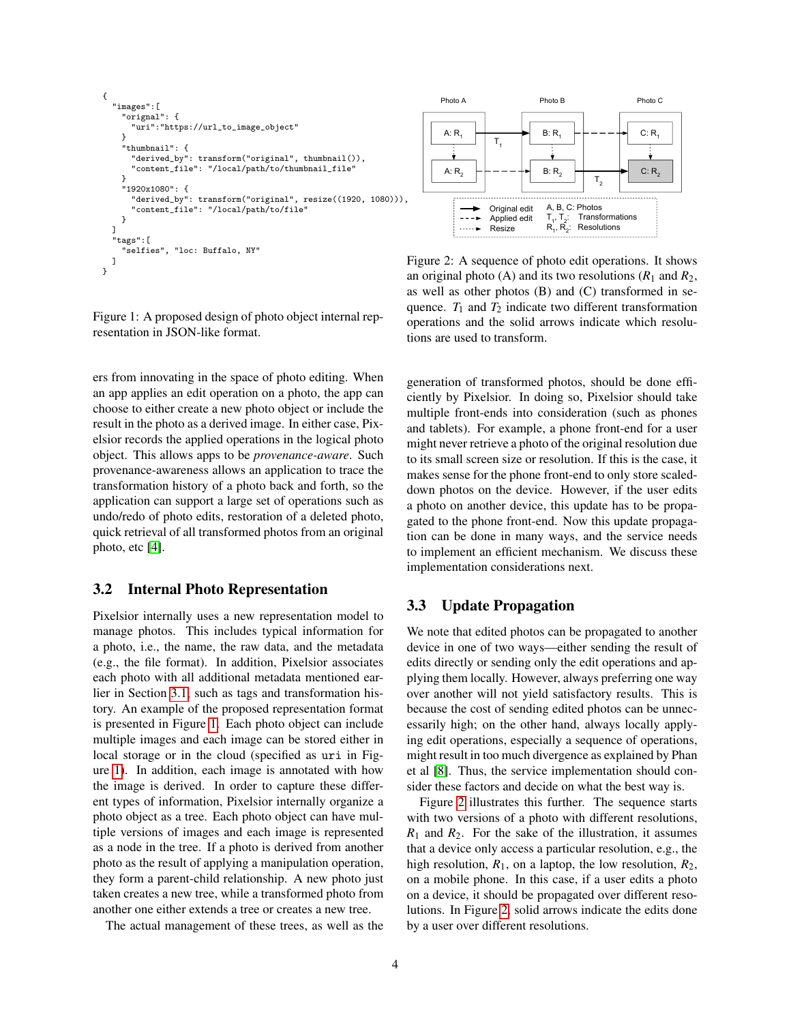```
{
  "images":[
    "orignal": {
       "uri":"https://url_to_image_object"
    }
     "thumbnail": {
      "derived_by": transform("original", thumbnail()),
       "content_file": "/local/path/to/thumbnail_file"
    }
    "1920x1080": {
       "derived_by": transform("original", resize((1920, 1080))),
      "content_file": "/local/path/to/file"
    }
  ]
  "tags":[
    "selfies", "loc: Buffalo, NY"
  ]
}
```
<span id="page-3-1"></span>

Figure 1: A proposed design of photo object internal representation in JSON-like format.

Figure 2: A sequence of photo edit operations. It shows an original photo (A) and its two resolutions  $(R_1 \text{ and } R_2)$ , as well as other photos (B) and (C) transformed in sequence.  $T_1$  and  $T_2$  indicate two different transformation operations and the solid arrows indicate which resolutions are used to transform.

ers from innovating in the space of photo editing. When an app applies an edit operation on a photo, the app can choose to either create a new photo object or include the result in the photo as a derived image. In either case, Pixelsior records the applied operations in the logical photo object. This allows apps to be *provenance-aware*. Such provenance-awareness allows an application to trace the transformation history of a photo back and forth, so the application can support a large set of operations such as undo/redo of photo edits, restoration of a deleted photo, quick retrieval of all transformed photos from an original photo, etc [\[4\]](#page-4-4).

## 3.2 Internal Photo Representation

Pixelsior internally uses a new representation model to manage photos. This includes typical information for a photo, i.e., the name, the raw data, and the metadata (e.g., the file format). In addition, Pixelsior associates each photo with all additional metadata mentioned earlier in Section [3.1,](#page-2-2) such as tags and transformation history. An example of the proposed representation format is presented in Figure [1.](#page-3-0) Each photo object can include multiple images and each image can be stored either in local storage or in the cloud (specified as uri in Figure [1\)](#page-3-0). In addition, each image is annotated with how the image is derived. In order to capture these different types of information, Pixelsior internally organize a photo object as a tree. Each photo object can have multiple versions of images and each image is represented as a node in the tree. If a photo is derived from another photo as the result of applying a manipulation operation, they form a parent-child relationship. A new photo just taken creates a new tree, while a transformed photo from another one either extends a tree or creates a new tree.

The actual management of these trees, as well as the

generation of transformed photos, should be done efficiently by Pixelsior. In doing so, Pixelsior should take multiple front-ends into consideration (such as phones and tablets). For example, a phone front-end for a user might never retrieve a photo of the original resolution due to its small screen size or resolution. If this is the case, it makes sense for the phone front-end to only store scaleddown photos on the device. However, if the user edits a photo on another device, this update has to be propagated to the phone front-end. Now this update propagation can be done in many ways, and the service needs to implement an efficient mechanism. We discuss these implementation considerations next.

## 3.3 Update Propagation

We note that edited photos can be propagated to another device in one of two ways—either sending the result of edits directly or sending only the edit operations and applying them locally. However, always preferring one way over another will not yield satisfactory results. This is because the cost of sending edited photos can be unnecessarily high; on the other hand, always locally applying edit operations, especially a sequence of operations, might result in too much divergence as explained by Phan et al [\[8\]](#page-4-5). Thus, the service implementation should consider these factors and decide on what the best way is.

Figure [2](#page-3-1) illustrates this further. The sequence starts with two versions of a photo with different resolutions,  $R_1$  and  $R_2$ . For the sake of the illustration, it assumes that a device only access a particular resolution, e.g., the high resolution,  $R_1$ , on a laptop, the low resolution,  $R_2$ , on a mobile phone. In this case, if a user edits a photo on a device, it should be propagated over different resolutions. In Figure [2,](#page-3-1) solid arrows indicate the edits done by a user over different resolutions.